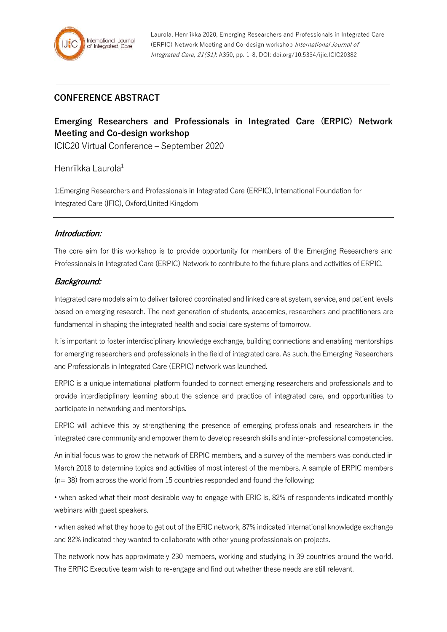### **CONFERENCE ABSTRACT**

# **Emerging Researchers and Professionals in Integrated Care (ERPIC) Network Meeting and Co-design workshop**

ICIC20 Virtual Conference – September 2020

#### Henriikka Laurola $1$

1:Emerging Researchers and Professionals in Integrated Care (ERPIC), International Foundation for Integrated Care (IFIC), Oxford,United Kingdom

#### **Introduction:**

The core aim for this workshop is to provide opportunity for members of the Emerging Researchers and Professionals in Integrated Care (ERPIC) Network to contribute to the future plans and activities of ERPIC.

#### **Background:**

Integrated care models aim to deliver tailored coordinated and linked care at system, service, and patient levels based on emerging research. The next generation of students, academics, researchers and practitioners are fundamental in shaping the integrated health and social care systems of tomorrow.

It is important to foster interdisciplinary knowledge exchange, building connections and enabling mentorships for emerging researchers and professionals in the field of integrated care. As such, the Emerging Researchers and Professionals in Integrated Care (ERPIC) network was launched.

ERPIC is a unique international platform founded to connect emerging researchers and professionals and to provide interdisciplinary learning about the science and practice of integrated care, and opportunities to participate in networking and mentorships.

ERPIC will achieve this by strengthening the presence of emerging professionals and researchers in the integrated care community and empower them to develop research skills and inter-professional competencies.

An initial focus was to grow the network of ERPIC members, and a survey of the members was conducted in March 2018 to determine topics and activities of most interest of the members. A sample of ERPIC members  $(n= 38)$  from across the world from 15 countries responded and found the following:

• when asked what their most desirable way to engage with ERIC is, 82% of respondents indicated monthly webinars with guest speakers.

• when asked what they hope to get out of the ERIC network, 87% indicated international knowledge exchange and 82% indicated they wanted to collaborate with other young professionals on projects.

The network now has approximately 230 members, working and studying in 39 countries around the world. The ERPIC Executive team wish to re-engage and find out whether these needs are still relevant.